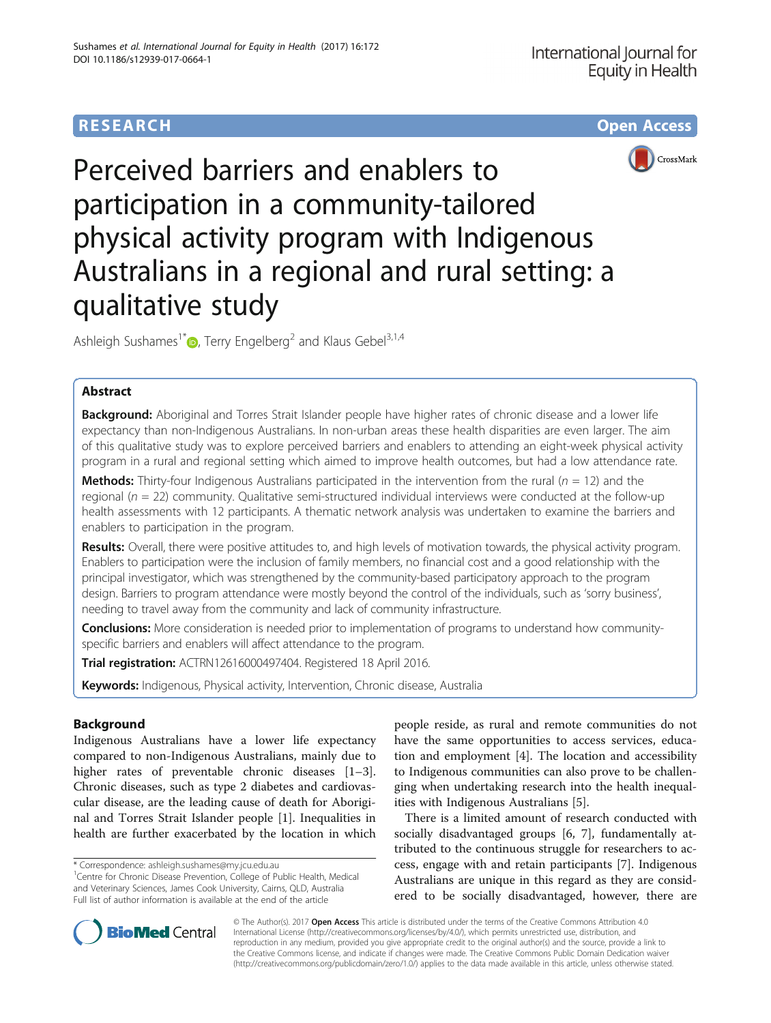# **RESEARCH CHE Open Access**





Perceived barriers and enablers to participation in a community-tailored physical activity program with Indigenous Australians in a regional and rural setting: a qualitative study

Ashleigh Sushames<sup>1[\\*](http://orcid.org/0000-0002-9802-6924)</sup> $\bullet$ , Terry Engelberg<sup>2</sup> and Klaus Gebel<sup>3,1,4</sup>

## Abstract

Background: Aboriginal and Torres Strait Islander people have higher rates of chronic disease and a lower life expectancy than non-Indigenous Australians. In non-urban areas these health disparities are even larger. The aim of this qualitative study was to explore perceived barriers and enablers to attending an eight-week physical activity program in a rural and regional setting which aimed to improve health outcomes, but had a low attendance rate.

**Methods:** Thirty-four Indigenous Australians participated in the intervention from the rural ( $n = 12$ ) and the regional  $(n = 22)$  community. Qualitative semi-structured individual interviews were conducted at the follow-up health assessments with 12 participants. A thematic network analysis was undertaken to examine the barriers and enablers to participation in the program.

Results: Overall, there were positive attitudes to, and high levels of motivation towards, the physical activity program. Enablers to participation were the inclusion of family members, no financial cost and a good relationship with the principal investigator, which was strengthened by the community-based participatory approach to the program design. Barriers to program attendance were mostly beyond the control of the individuals, such as 'sorry business', needing to travel away from the community and lack of community infrastructure.

**Conclusions:** More consideration is needed prior to implementation of programs to understand how communityspecific barriers and enablers will affect attendance to the program.

Trial registration: [ACTRN12616000497404](https://www.anzctr.org.au/Trial/Registration/TrialReview.aspx?id=369905). Registered 18 April 2016.

Keywords: Indigenous, Physical activity, Intervention, Chronic disease, Australia

## Background

Indigenous Australians have a lower life expectancy compared to non-Indigenous Australians, mainly due to higher rates of preventable chronic diseases [\[1](#page-8-0)-[3](#page-8-0)]. Chronic diseases, such as type 2 diabetes and cardiovascular disease, are the leading cause of death for Aboriginal and Torres Strait Islander people [[1\]](#page-8-0). Inequalities in health are further exacerbated by the location in which

people reside, as rural and remote communities do not have the same opportunities to access services, education and employment [\[4](#page-8-0)]. The location and accessibility to Indigenous communities can also prove to be challenging when undertaking research into the health inequalities with Indigenous Australians [\[5](#page-8-0)].

There is a limited amount of research conducted with socially disadvantaged groups [\[6](#page-8-0), [7](#page-8-0)], fundamentally attributed to the continuous struggle for researchers to access, engage with and retain participants [[7\]](#page-8-0). Indigenous Australians are unique in this regard as they are considered to be socially disadvantaged, however, there are



© The Author(s). 2017 **Open Access** This article is distributed under the terms of the Creative Commons Attribution 4.0 International License [\(http://creativecommons.org/licenses/by/4.0/](http://creativecommons.org/licenses/by/4.0/)), which permits unrestricted use, distribution, and reproduction in any medium, provided you give appropriate credit to the original author(s) and the source, provide a link to the Creative Commons license, and indicate if changes were made. The Creative Commons Public Domain Dedication waiver [\(http://creativecommons.org/publicdomain/zero/1.0/](http://creativecommons.org/publicdomain/zero/1.0/)) applies to the data made available in this article, unless otherwise stated.

<sup>\*</sup> Correspondence: [ashleigh.sushames@my.jcu.edu.au](mailto:ashleigh.sushames@my.jcu.edu.au) <sup>1</sup>

<sup>&</sup>lt;sup>1</sup> Centre for Chronic Disease Prevention, College of Public Health, Medical and Veterinary Sciences, James Cook University, Cairns, QLD, Australia Full list of author information is available at the end of the article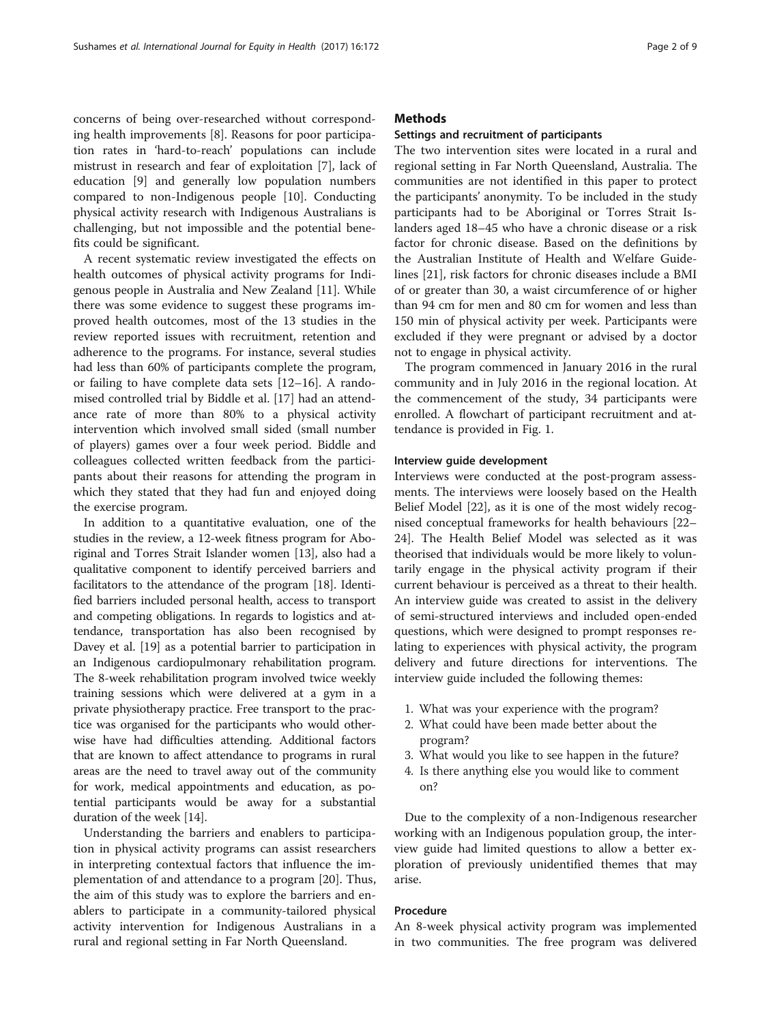concerns of being over-researched without corresponding health improvements [\[8](#page-8-0)]. Reasons for poor participation rates in 'hard-to-reach' populations can include mistrust in research and fear of exploitation [[7](#page-8-0)], lack of education [[9\]](#page-8-0) and generally low population numbers compared to non-Indigenous people [[10\]](#page-8-0). Conducting physical activity research with Indigenous Australians is challenging, but not impossible and the potential benefits could be significant.

A recent systematic review investigated the effects on health outcomes of physical activity programs for Indigenous people in Australia and New Zealand [[11](#page-8-0)]. While there was some evidence to suggest these programs improved health outcomes, most of the 13 studies in the review reported issues with recruitment, retention and adherence to the programs. For instance, several studies had less than 60% of participants complete the program, or failing to have complete data sets [[12](#page-8-0)–[16](#page-8-0)]. A randomised controlled trial by Biddle et al. [[17](#page-8-0)] had an attendance rate of more than 80% to a physical activity intervention which involved small sided (small number of players) games over a four week period. Biddle and colleagues collected written feedback from the participants about their reasons for attending the program in which they stated that they had fun and enjoyed doing the exercise program.

In addition to a quantitative evaluation, one of the studies in the review, a 12-week fitness program for Aboriginal and Torres Strait Islander women [[13](#page-8-0)], also had a qualitative component to identify perceived barriers and facilitators to the attendance of the program [\[18\]](#page-8-0). Identified barriers included personal health, access to transport and competing obligations. In regards to logistics and attendance, transportation has also been recognised by Davey et al. [\[19\]](#page-8-0) as a potential barrier to participation in an Indigenous cardiopulmonary rehabilitation program. The 8-week rehabilitation program involved twice weekly training sessions which were delivered at a gym in a private physiotherapy practice. Free transport to the practice was organised for the participants who would otherwise have had difficulties attending. Additional factors that are known to affect attendance to programs in rural areas are the need to travel away out of the community for work, medical appointments and education, as potential participants would be away for a substantial duration of the week [\[14\]](#page-8-0).

Understanding the barriers and enablers to participation in physical activity programs can assist researchers in interpreting contextual factors that influence the implementation of and attendance to a program [\[20](#page-8-0)]. Thus, the aim of this study was to explore the barriers and enablers to participate in a community-tailored physical activity intervention for Indigenous Australians in a rural and regional setting in Far North Queensland.

## **Methods**

### Settings and recruitment of participants

The two intervention sites were located in a rural and regional setting in Far North Queensland, Australia. The communities are not identified in this paper to protect the participants' anonymity. To be included in the study participants had to be Aboriginal or Torres Strait Islanders aged 18–45 who have a chronic disease or a risk factor for chronic disease. Based on the definitions by the Australian Institute of Health and Welfare Guidelines [[21](#page-8-0)], risk factors for chronic diseases include a BMI of or greater than 30, a waist circumference of or higher than 94 cm for men and 80 cm for women and less than 150 min of physical activity per week. Participants were excluded if they were pregnant or advised by a doctor not to engage in physical activity.

The program commenced in January 2016 in the rural community and in July 2016 in the regional location. At the commencement of the study, 34 participants were enrolled. A flowchart of participant recruitment and attendance is provided in Fig. [1.](#page-2-0)

## Interview guide development

Interviews were conducted at the post-program assessments. The interviews were loosely based on the Health Belief Model [[22\]](#page-8-0), as it is one of the most widely recognised conceptual frameworks for health behaviours [[22](#page-8-0)– [24\]](#page-8-0). The Health Belief Model was selected as it was theorised that individuals would be more likely to voluntarily engage in the physical activity program if their current behaviour is perceived as a threat to their health. An interview guide was created to assist in the delivery of semi-structured interviews and included open-ended questions, which were designed to prompt responses relating to experiences with physical activity, the program delivery and future directions for interventions. The interview guide included the following themes:

- 1. What was your experience with the program?
- 2. What could have been made better about the program?
- 3. What would you like to see happen in the future?
- 4. Is there anything else you would like to comment on?

Due to the complexity of a non-Indigenous researcher working with an Indigenous population group, the interview guide had limited questions to allow a better exploration of previously unidentified themes that may arise.

## Procedure

An 8-week physical activity program was implemented in two communities. The free program was delivered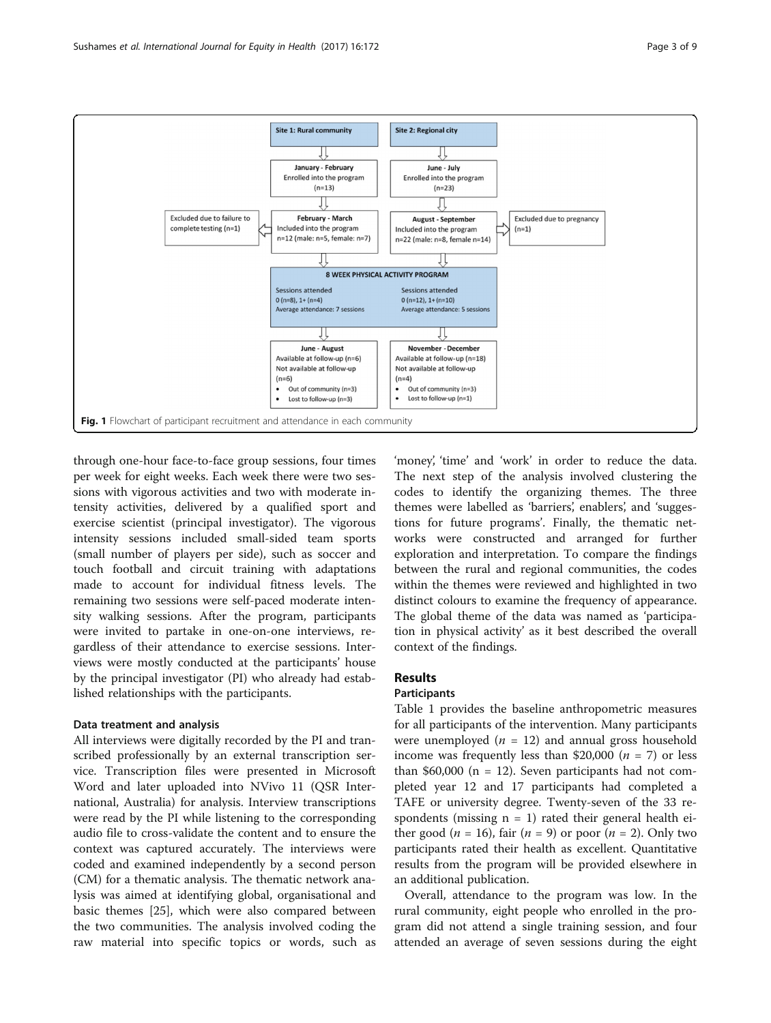<span id="page-2-0"></span>

through one-hour face-to-face group sessions, four times per week for eight weeks. Each week there were two sessions with vigorous activities and two with moderate intensity activities, delivered by a qualified sport and exercise scientist (principal investigator). The vigorous intensity sessions included small-sided team sports (small number of players per side), such as soccer and touch football and circuit training with adaptations made to account for individual fitness levels. The remaining two sessions were self-paced moderate intensity walking sessions. After the program, participants were invited to partake in one-on-one interviews, regardless of their attendance to exercise sessions. Interviews were mostly conducted at the participants' house by the principal investigator (PI) who already had established relationships with the participants.

## Data treatment and analysis

All interviews were digitally recorded by the PI and transcribed professionally by an external transcription service. Transcription files were presented in Microsoft Word and later uploaded into NVivo 11 (QSR International, Australia) for analysis. Interview transcriptions were read by the PI while listening to the corresponding audio file to cross-validate the content and to ensure the context was captured accurately. The interviews were coded and examined independently by a second person (CM) for a thematic analysis. The thematic network analysis was aimed at identifying global, organisational and basic themes [[25](#page-8-0)], which were also compared between the two communities. The analysis involved coding the raw material into specific topics or words, such as 'money', 'time' and 'work' in order to reduce the data. The next step of the analysis involved clustering the codes to identify the organizing themes. The three themes were labelled as 'barriers', enablers', and 'suggestions for future programs'. Finally, the thematic networks were constructed and arranged for further exploration and interpretation. To compare the findings between the rural and regional communities, the codes within the themes were reviewed and highlighted in two distinct colours to examine the frequency of appearance. The global theme of the data was named as 'participation in physical activity' as it best described the overall context of the findings.

## Results

## Participants

Table [1](#page-3-0) provides the baseline anthropometric measures for all participants of the intervention. Many participants were unemployed ( $n = 12$ ) and annual gross household income was frequently less than \$20,000 ( $n = 7$ ) or less than  $$60,000$  (n = 12). Seven participants had not completed year 12 and 17 participants had completed a TAFE or university degree. Twenty-seven of the 33 respondents (missing  $n = 1$ ) rated their general health either good ( $n = 16$ ), fair ( $n = 9$ ) or poor ( $n = 2$ ). Only two participants rated their health as excellent. Quantitative results from the program will be provided elsewhere in an additional publication.

Overall, attendance to the program was low. In the rural community, eight people who enrolled in the program did not attend a single training session, and four attended an average of seven sessions during the eight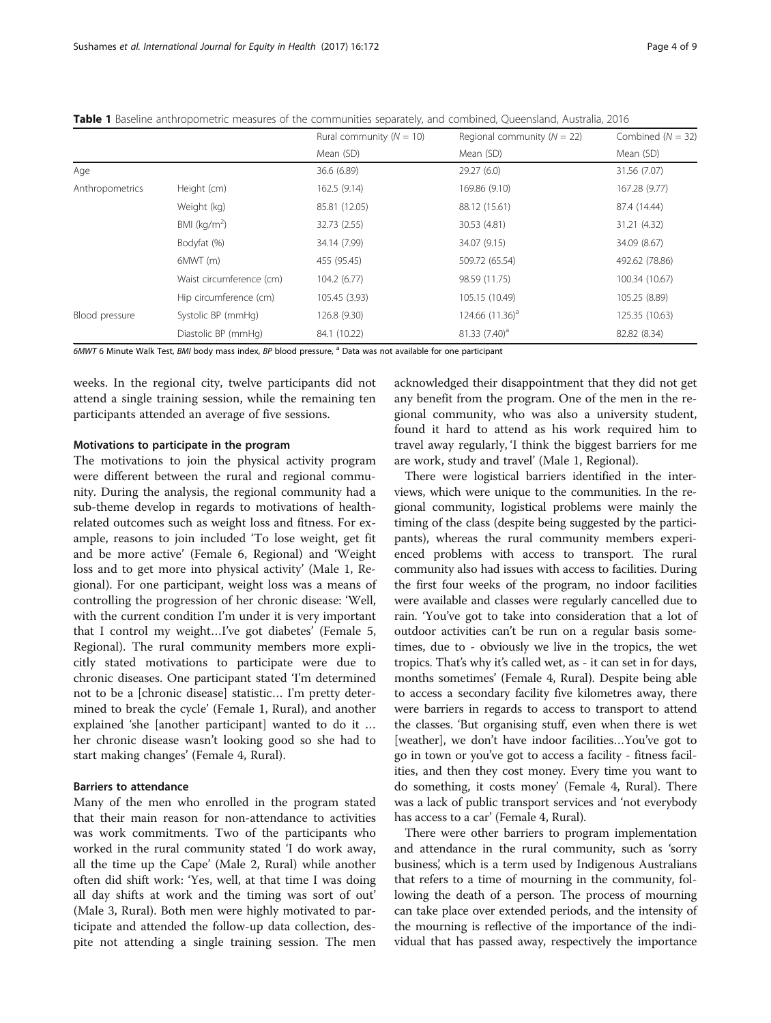|                 |                          | Rural community ( $N = 10$ ) | Regional community ( $N = 22$ ) | Combined ( $N = 32$ ) |
|-----------------|--------------------------|------------------------------|---------------------------------|-----------------------|
|                 |                          | Mean (SD)                    | Mean (SD)                       | Mean (SD)             |
| Age             |                          | 36.6 (6.89)                  | 29.27(6.0)                      | 31.56 (7.07)          |
| Anthropometrics | Height (cm)              | 162.5 (9.14)                 | 169.86 (9.10)                   | 167.28 (9.77)         |
|                 | Weight (kg)              | 85.81 (12.05)                | 88.12 (15.61)                   | 87.4 (14.44)          |
|                 | BMI $(kq/m2)$            | 32.73 (2.55)                 | 30.53 (4.81)                    | 31.21 (4.32)          |
|                 | Bodyfat (%)              | 34.14 (7.99)                 | 34.07 (9.15)                    | 34.09 (8.67)          |
|                 | 6MWT(m)                  | 455 (95.45)                  | 509.72 (65.54)                  | 492.62 (78.86)        |
|                 | Waist circumference (cm) | 104.2 (6.77)                 | 98.59 (11.75)                   | 100.34 (10.67)        |
|                 | Hip circumference (cm)   | 105.45 (3.93)                | 105.15 (10.49)                  | 105.25 (8.89)         |
| Blood pressure  | Systolic BP (mmHg)       | 126.8 (9.30)                 | 124.66 (11.36) <sup>a</sup>     | 125.35 (10.63)        |
|                 | Diastolic BP (mmHg)      | 84.1 (10.22)                 | $81.33(7.40)^a$                 | 82.82 (8.34)          |

<span id="page-3-0"></span>Table 1 Baseline anthropometric measures of the communities separately, and combined, Queensland, Australia, 2016

 $6MWT$  6 Minute Walk Test, BMI body mass index, BP blood pressure,  $a$  Data was not available for one participant

weeks. In the regional city, twelve participants did not attend a single training session, while the remaining ten participants attended an average of five sessions.

## Motivations to participate in the program

The motivations to join the physical activity program were different between the rural and regional community. During the analysis, the regional community had a sub-theme develop in regards to motivations of healthrelated outcomes such as weight loss and fitness. For example, reasons to join included 'To lose weight, get fit and be more active' (Female 6, Regional) and 'Weight loss and to get more into physical activity' (Male 1, Regional). For one participant, weight loss was a means of controlling the progression of her chronic disease: 'Well, with the current condition I'm under it is very important that I control my weight…I've got diabetes' (Female 5, Regional). The rural community members more explicitly stated motivations to participate were due to chronic diseases. One participant stated 'I'm determined not to be a [chronic disease] statistic… I'm pretty determined to break the cycle' (Female 1, Rural), and another explained 'she [another participant] wanted to do it … her chronic disease wasn't looking good so she had to start making changes' (Female 4, Rural).

### Barriers to attendance

Many of the men who enrolled in the program stated that their main reason for non-attendance to activities was work commitments. Two of the participants who worked in the rural community stated 'I do work away, all the time up the Cape' (Male 2, Rural) while another often did shift work: 'Yes, well, at that time I was doing all day shifts at work and the timing was sort of out' (Male 3, Rural). Both men were highly motivated to participate and attended the follow-up data collection, despite not attending a single training session. The men acknowledged their disappointment that they did not get any benefit from the program. One of the men in the regional community, who was also a university student, found it hard to attend as his work required him to travel away regularly, 'I think the biggest barriers for me are work, study and travel' (Male 1, Regional).

There were logistical barriers identified in the interviews, which were unique to the communities. In the regional community, logistical problems were mainly the timing of the class (despite being suggested by the participants), whereas the rural community members experienced problems with access to transport. The rural community also had issues with access to facilities. During the first four weeks of the program, no indoor facilities were available and classes were regularly cancelled due to rain. 'You've got to take into consideration that a lot of outdoor activities can't be run on a regular basis sometimes, due to - obviously we live in the tropics, the wet tropics. That's why it's called wet, as - it can set in for days, months sometimes' (Female 4, Rural). Despite being able to access a secondary facility five kilometres away, there were barriers in regards to access to transport to attend the classes. 'But organising stuff, even when there is wet [weather], we don't have indoor facilities…You've got to go in town or you've got to access a facility - fitness facilities, and then they cost money. Every time you want to do something, it costs money' (Female 4, Rural). There was a lack of public transport services and 'not everybody has access to a car' (Female 4, Rural).

There were other barriers to program implementation and attendance in the rural community, such as 'sorry business', which is a term used by Indigenous Australians that refers to a time of mourning in the community, following the death of a person. The process of mourning can take place over extended periods, and the intensity of the mourning is reflective of the importance of the individual that has passed away, respectively the importance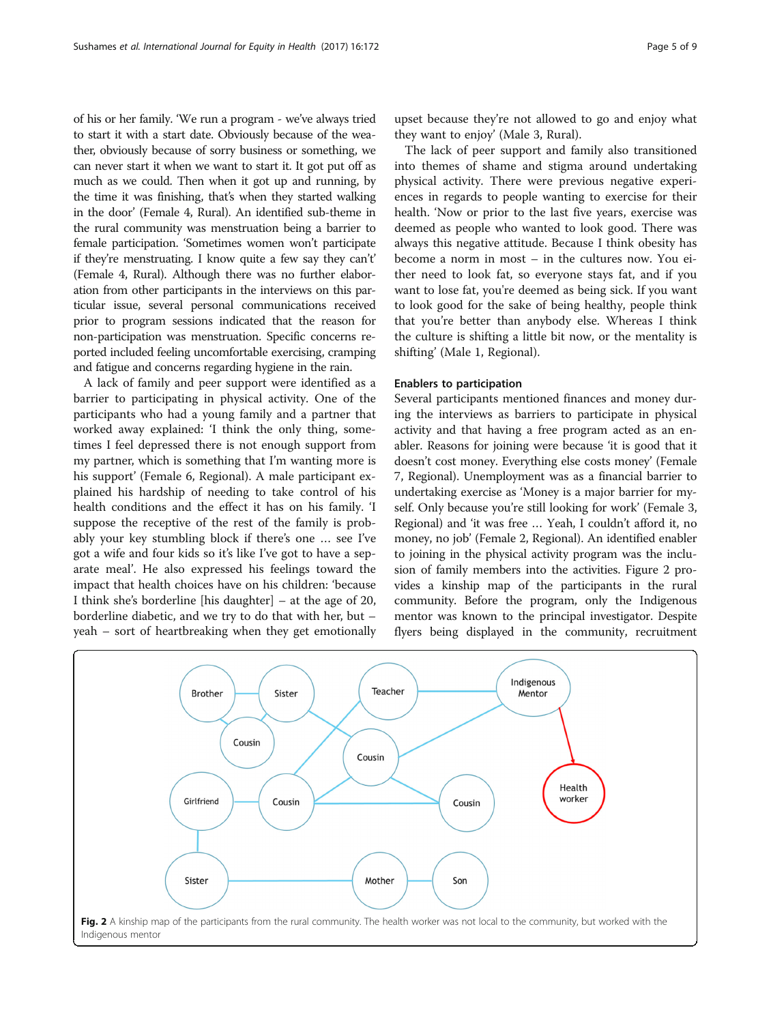of his or her family. 'We run a program - we've always tried to start it with a start date. Obviously because of the weather, obviously because of sorry business or something, we can never start it when we want to start it. It got put off as much as we could. Then when it got up and running, by the time it was finishing, that's when they started walking in the door' (Female 4, Rural). An identified sub-theme in the rural community was menstruation being a barrier to female participation. 'Sometimes women won't participate if they're menstruating. I know quite a few say they can't' (Female 4, Rural). Although there was no further elaboration from other participants in the interviews on this particular issue, several personal communications received prior to program sessions indicated that the reason for non-participation was menstruation. Specific concerns reported included feeling uncomfortable exercising, cramping and fatigue and concerns regarding hygiene in the rain.

A lack of family and peer support were identified as a barrier to participating in physical activity. One of the participants who had a young family and a partner that worked away explained: 'I think the only thing, sometimes I feel depressed there is not enough support from my partner, which is something that I'm wanting more is his support' (Female 6, Regional). A male participant explained his hardship of needing to take control of his health conditions and the effect it has on his family. 'I suppose the receptive of the rest of the family is probably your key stumbling block if there's one … see I've got a wife and four kids so it's like I've got to have a separate meal'. He also expressed his feelings toward the impact that health choices have on his children: 'because I think she's borderline [his daughter] – at the age of 20, borderline diabetic, and we try to do that with her, but – yeah – sort of heartbreaking when they get emotionally upset because they're not allowed to go and enjoy what they want to enjoy' (Male 3, Rural).

The lack of peer support and family also transitioned into themes of shame and stigma around undertaking physical activity. There were previous negative experiences in regards to people wanting to exercise for their health. 'Now or prior to the last five years, exercise was deemed as people who wanted to look good. There was always this negative attitude. Because I think obesity has become a norm in most – in the cultures now. You either need to look fat, so everyone stays fat, and if you want to lose fat, you're deemed as being sick. If you want to look good for the sake of being healthy, people think that you're better than anybody else. Whereas I think the culture is shifting a little bit now, or the mentality is shifting' (Male 1, Regional).

## Enablers to participation

Several participants mentioned finances and money during the interviews as barriers to participate in physical activity and that having a free program acted as an enabler. Reasons for joining were because 'it is good that it doesn't cost money. Everything else costs money' (Female 7, Regional). Unemployment was as a financial barrier to undertaking exercise as 'Money is a major barrier for myself. Only because you're still looking for work' (Female 3, Regional) and 'it was free … Yeah, I couldn't afford it, no money, no job' (Female 2, Regional). An identified enabler to joining in the physical activity program was the inclusion of family members into the activities. Figure 2 provides a kinship map of the participants in the rural community. Before the program, only the Indigenous mentor was known to the principal investigator. Despite flyers being displayed in the community, recruitment

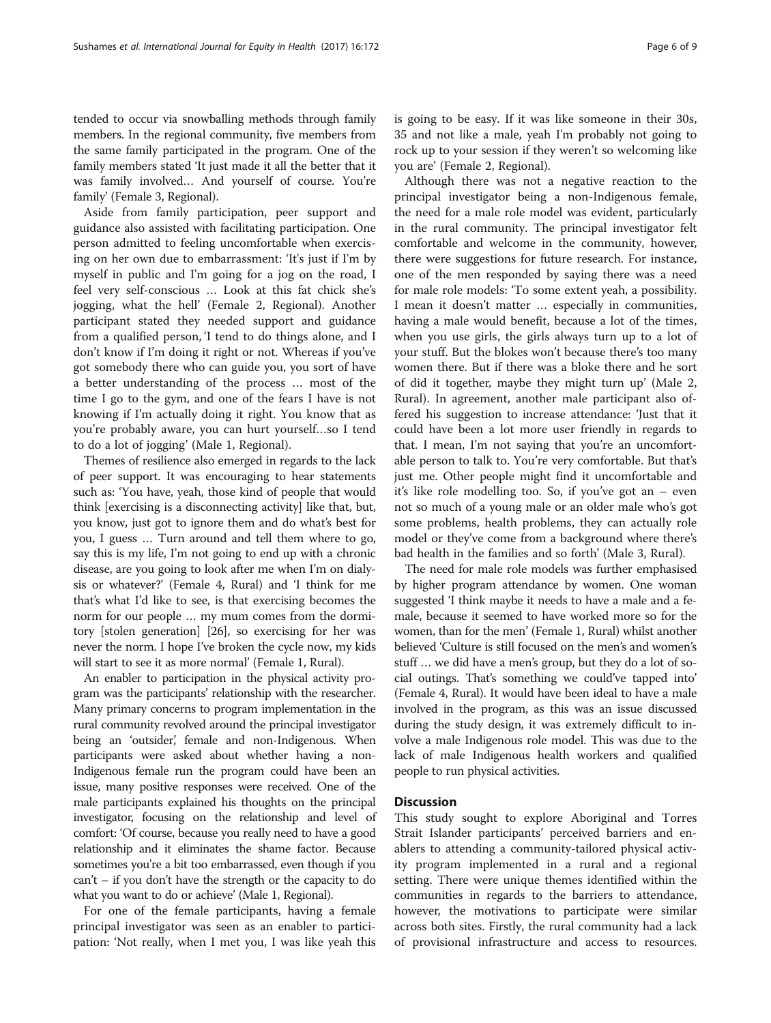tended to occur via snowballing methods through family members. In the regional community, five members from the same family participated in the program. One of the family members stated 'It just made it all the better that it was family involved… And yourself of course. You're family' (Female 3, Regional).

Aside from family participation, peer support and guidance also assisted with facilitating participation. One person admitted to feeling uncomfortable when exercising on her own due to embarrassment: 'It's just if I'm by myself in public and I'm going for a jog on the road, I feel very self-conscious … Look at this fat chick she's jogging, what the hell' (Female 2, Regional). Another participant stated they needed support and guidance from a qualified person, 'I tend to do things alone, and I don't know if I'm doing it right or not. Whereas if you've got somebody there who can guide you, you sort of have a better understanding of the process … most of the time I go to the gym, and one of the fears I have is not knowing if I'm actually doing it right. You know that as you're probably aware, you can hurt yourself…so I tend to do a lot of jogging' (Male 1, Regional).

Themes of resilience also emerged in regards to the lack of peer support. It was encouraging to hear statements such as: 'You have, yeah, those kind of people that would think [exercising is a disconnecting activity] like that, but, you know, just got to ignore them and do what's best for you, I guess … Turn around and tell them where to go, say this is my life, I'm not going to end up with a chronic disease, are you going to look after me when I'm on dialysis or whatever?' (Female 4, Rural) and 'I think for me that's what I'd like to see, is that exercising becomes the norm for our people … my mum comes from the dormitory [stolen generation] [\[26\]](#page-8-0), so exercising for her was never the norm. I hope I've broken the cycle now, my kids will start to see it as more normal' (Female 1, Rural).

An enabler to participation in the physical activity program was the participants' relationship with the researcher. Many primary concerns to program implementation in the rural community revolved around the principal investigator being an 'outsider', female and non-Indigenous. When participants were asked about whether having a non-Indigenous female run the program could have been an issue, many positive responses were received. One of the male participants explained his thoughts on the principal investigator, focusing on the relationship and level of comfort: 'Of course, because you really need to have a good relationship and it eliminates the shame factor. Because sometimes you're a bit too embarrassed, even though if you can't – if you don't have the strength or the capacity to do what you want to do or achieve' (Male 1, Regional).

For one of the female participants, having a female principal investigator was seen as an enabler to participation: 'Not really, when I met you, I was like yeah this is going to be easy. If it was like someone in their 30s, 35 and not like a male, yeah I'm probably not going to rock up to your session if they weren't so welcoming like you are' (Female 2, Regional).

Although there was not a negative reaction to the principal investigator being a non-Indigenous female, the need for a male role model was evident, particularly in the rural community. The principal investigator felt comfortable and welcome in the community, however, there were suggestions for future research. For instance, one of the men responded by saying there was a need for male role models: 'To some extent yeah, a possibility. I mean it doesn't matter … especially in communities, having a male would benefit, because a lot of the times, when you use girls, the girls always turn up to a lot of your stuff. But the blokes won't because there's too many women there. But if there was a bloke there and he sort of did it together, maybe they might turn up' (Male 2, Rural). In agreement, another male participant also offered his suggestion to increase attendance: 'Just that it could have been a lot more user friendly in regards to that. I mean, I'm not saying that you're an uncomfortable person to talk to. You're very comfortable. But that's just me. Other people might find it uncomfortable and it's like role modelling too. So, if you've got an – even not so much of a young male or an older male who's got some problems, health problems, they can actually role model or they've come from a background where there's bad health in the families and so forth' (Male 3, Rural).

The need for male role models was further emphasised by higher program attendance by women. One woman suggested 'I think maybe it needs to have a male and a female, because it seemed to have worked more so for the women, than for the men' (Female 1, Rural) whilst another believed 'Culture is still focused on the men's and women's stuff … we did have a men's group, but they do a lot of social outings. That's something we could've tapped into' (Female 4, Rural). It would have been ideal to have a male involved in the program, as this was an issue discussed during the study design, it was extremely difficult to involve a male Indigenous role model. This was due to the lack of male Indigenous health workers and qualified people to run physical activities.

## **Discussion**

This study sought to explore Aboriginal and Torres Strait Islander participants' perceived barriers and enablers to attending a community-tailored physical activity program implemented in a rural and a regional setting. There were unique themes identified within the communities in regards to the barriers to attendance, however, the motivations to participate were similar across both sites. Firstly, the rural community had a lack of provisional infrastructure and access to resources.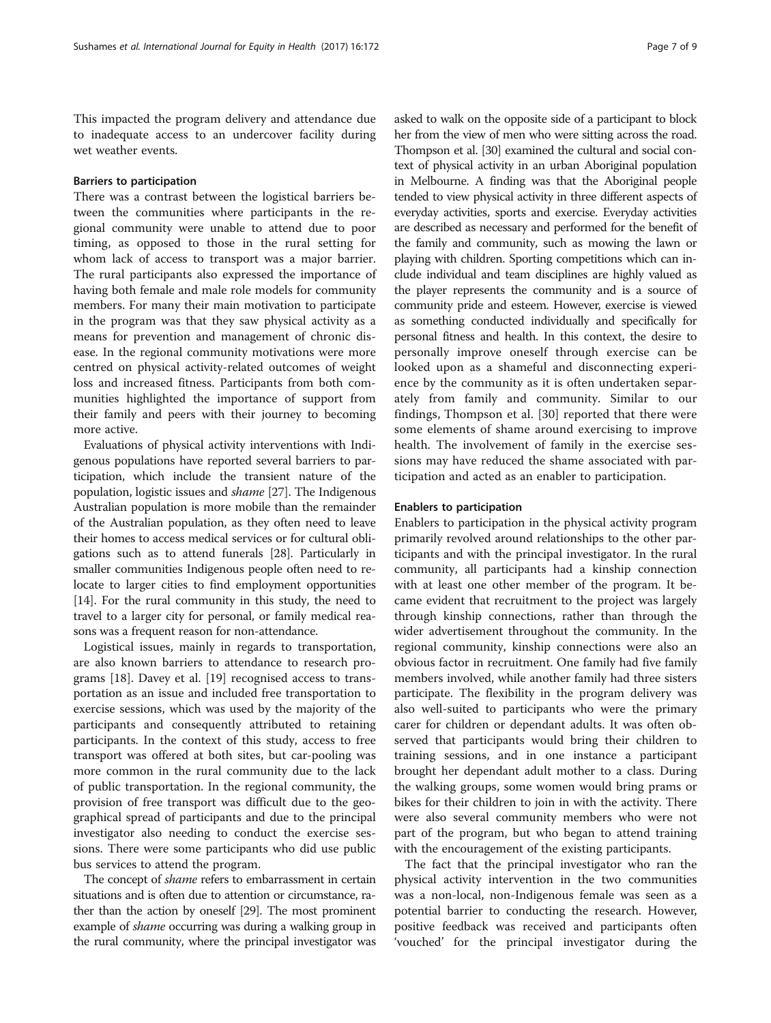This impacted the program delivery and attendance due to inadequate access to an undercover facility during wet weather events.

## Barriers to participation

There was a contrast between the logistical barriers between the communities where participants in the regional community were unable to attend due to poor timing, as opposed to those in the rural setting for whom lack of access to transport was a major barrier. The rural participants also expressed the importance of having both female and male role models for community members. For many their main motivation to participate in the program was that they saw physical activity as a means for prevention and management of chronic disease. In the regional community motivations were more centred on physical activity-related outcomes of weight loss and increased fitness. Participants from both communities highlighted the importance of support from their family and peers with their journey to becoming more active.

Evaluations of physical activity interventions with Indigenous populations have reported several barriers to participation, which include the transient nature of the population, logistic issues and shame [\[27\]](#page-8-0). The Indigenous Australian population is more mobile than the remainder of the Australian population, as they often need to leave their homes to access medical services or for cultural obligations such as to attend funerals [[28](#page-8-0)]. Particularly in smaller communities Indigenous people often need to relocate to larger cities to find employment opportunities [[14](#page-8-0)]. For the rural community in this study, the need to travel to a larger city for personal, or family medical reasons was a frequent reason for non-attendance.

Logistical issues, mainly in regards to transportation, are also known barriers to attendance to research programs [\[18\]](#page-8-0). Davey et al. [\[19\]](#page-8-0) recognised access to transportation as an issue and included free transportation to exercise sessions, which was used by the majority of the participants and consequently attributed to retaining participants. In the context of this study, access to free transport was offered at both sites, but car-pooling was more common in the rural community due to the lack of public transportation. In the regional community, the provision of free transport was difficult due to the geographical spread of participants and due to the principal investigator also needing to conduct the exercise sessions. There were some participants who did use public bus services to attend the program.

The concept of *shame* refers to embarrassment in certain situations and is often due to attention or circumstance, rather than the action by oneself [\[29\]](#page-8-0). The most prominent example of *shame* occurring was during a walking group in the rural community, where the principal investigator was

asked to walk on the opposite side of a participant to block her from the view of men who were sitting across the road. Thompson et al. [\[30](#page-8-0)] examined the cultural and social context of physical activity in an urban Aboriginal population in Melbourne. A finding was that the Aboriginal people tended to view physical activity in three different aspects of everyday activities, sports and exercise. Everyday activities are described as necessary and performed for the benefit of the family and community, such as mowing the lawn or playing with children. Sporting competitions which can include individual and team disciplines are highly valued as the player represents the community and is a source of community pride and esteem. However, exercise is viewed as something conducted individually and specifically for personal fitness and health. In this context, the desire to personally improve oneself through exercise can be looked upon as a shameful and disconnecting experience by the community as it is often undertaken separately from family and community. Similar to our findings, Thompson et al. [[30\]](#page-8-0) reported that there were some elements of shame around exercising to improve health. The involvement of family in the exercise sessions may have reduced the shame associated with participation and acted as an enabler to participation.

## Enablers to participation

Enablers to participation in the physical activity program primarily revolved around relationships to the other participants and with the principal investigator. In the rural community, all participants had a kinship connection with at least one other member of the program. It became evident that recruitment to the project was largely through kinship connections, rather than through the wider advertisement throughout the community. In the regional community, kinship connections were also an obvious factor in recruitment. One family had five family members involved, while another family had three sisters participate. The flexibility in the program delivery was also well-suited to participants who were the primary carer for children or dependant adults. It was often observed that participants would bring their children to training sessions, and in one instance a participant brought her dependant adult mother to a class. During the walking groups, some women would bring prams or bikes for their children to join in with the activity. There were also several community members who were not part of the program, but who began to attend training with the encouragement of the existing participants.

The fact that the principal investigator who ran the physical activity intervention in the two communities was a non-local, non-Indigenous female was seen as a potential barrier to conducting the research. However, positive feedback was received and participants often 'vouched' for the principal investigator during the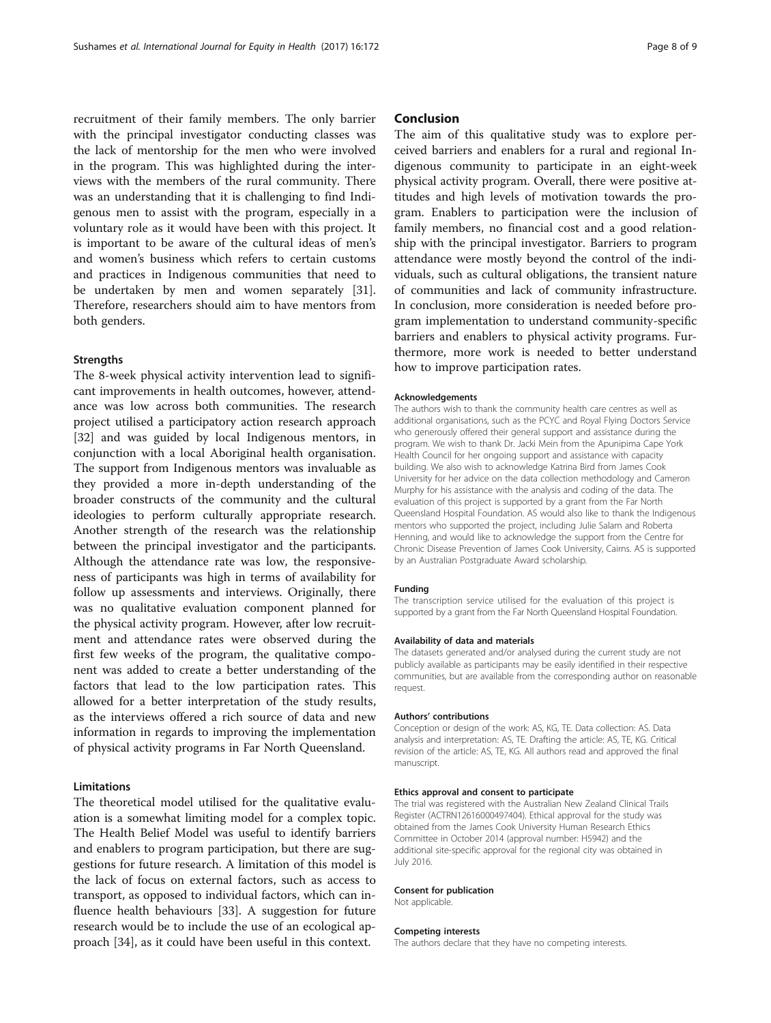recruitment of their family members. The only barrier with the principal investigator conducting classes was the lack of mentorship for the men who were involved in the program. This was highlighted during the interviews with the members of the rural community. There was an understanding that it is challenging to find Indigenous men to assist with the program, especially in a voluntary role as it would have been with this project. It is important to be aware of the cultural ideas of men's and women's business which refers to certain customs and practices in Indigenous communities that need to be undertaken by men and women separately [\[31](#page-8-0)]. Therefore, researchers should aim to have mentors from both genders.

## **Strengths**

The 8-week physical activity intervention lead to significant improvements in health outcomes, however, attendance was low across both communities. The research project utilised a participatory action research approach [[32\]](#page-8-0) and was guided by local Indigenous mentors, in conjunction with a local Aboriginal health organisation. The support from Indigenous mentors was invaluable as they provided a more in-depth understanding of the broader constructs of the community and the cultural ideologies to perform culturally appropriate research. Another strength of the research was the relationship between the principal investigator and the participants. Although the attendance rate was low, the responsiveness of participants was high in terms of availability for follow up assessments and interviews. Originally, there was no qualitative evaluation component planned for the physical activity program. However, after low recruitment and attendance rates were observed during the first few weeks of the program, the qualitative component was added to create a better understanding of the factors that lead to the low participation rates. This allowed for a better interpretation of the study results, as the interviews offered a rich source of data and new information in regards to improving the implementation of physical activity programs in Far North Queensland.

#### **Limitations**

The theoretical model utilised for the qualitative evaluation is a somewhat limiting model for a complex topic. The Health Belief Model was useful to identify barriers and enablers to program participation, but there are suggestions for future research. A limitation of this model is the lack of focus on external factors, such as access to transport, as opposed to individual factors, which can influence health behaviours [[33](#page-8-0)]. A suggestion for future research would be to include the use of an ecological approach [[34\]](#page-8-0), as it could have been useful in this context.

## Conclusion

The aim of this qualitative study was to explore perceived barriers and enablers for a rural and regional Indigenous community to participate in an eight-week physical activity program. Overall, there were positive attitudes and high levels of motivation towards the program. Enablers to participation were the inclusion of family members, no financial cost and a good relationship with the principal investigator. Barriers to program attendance were mostly beyond the control of the individuals, such as cultural obligations, the transient nature of communities and lack of community infrastructure. In conclusion, more consideration is needed before program implementation to understand community-specific barriers and enablers to physical activity programs. Furthermore, more work is needed to better understand how to improve participation rates.

#### Acknowledgements

The authors wish to thank the community health care centres as well as additional organisations, such as the PCYC and Royal Flying Doctors Service who generously offered their general support and assistance during the program. We wish to thank Dr. Jacki Mein from the Apunipima Cape York Health Council for her ongoing support and assistance with capacity building. We also wish to acknowledge Katrina Bird from James Cook University for her advice on the data collection methodology and Cameron Murphy for his assistance with the analysis and coding of the data. The evaluation of this project is supported by a grant from the Far North Queensland Hospital Foundation. AS would also like to thank the Indigenous mentors who supported the project, including Julie Salam and Roberta Henning, and would like to acknowledge the support from the Centre for Chronic Disease Prevention of James Cook University, Cairns. AS is supported by an Australian Postgraduate Award scholarship.

#### Funding

The transcription service utilised for the evaluation of this project is supported by a grant from the Far North Queensland Hospital Foundation.

#### Availability of data and materials

The datasets generated and/or analysed during the current study are not publicly available as participants may be easily identified in their respective communities, but are available from the corresponding author on reasonable request.

#### Authors' contributions

Conception or design of the work: AS, KG, TE. Data collection: AS. Data analysis and interpretation: AS, TE. Drafting the article: AS, TE, KG. Critical revision of the article: AS, TE, KG. All authors read and approved the final manuscript.

#### Ethics approval and consent to participate

The trial was registered with the Australian New Zealand Clinical Trails Register (ACTRN12616000497404). Ethical approval for the study was obtained from the James Cook University Human Research Ethics Committee in October 2014 (approval number: H5942) and the additional site-specific approval for the regional city was obtained in July 2016.

## Consent for publication

Not applicable.

#### Competing interests

The authors declare that they have no competing interests.